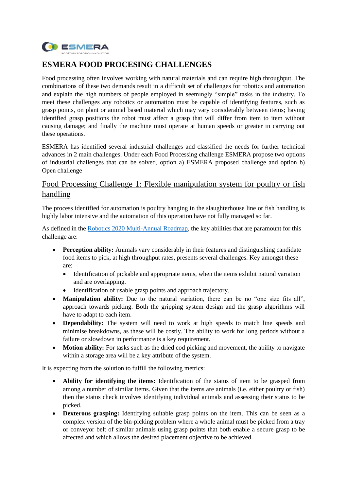

# **ESMERA FOOD PROCESING CHALLENGES**

Food processing often involves working with natural materials and can require high throughput. The combinations of these two demands result in a difficult set of challenges for robotics and automation and explain the high numbers of people employed in seemingly "simple" tasks in the industry. To meet these challenges any robotics or automation must be capable of identifying features, such as grasp points, on plant or animal based material which may vary considerably between items; having identified grasp positions the robot must affect a grasp that will differ from item to item without causing damage; and finally the machine must operate at human speeds or greater in carrying out these operations.

ESMERA has identified several industrial challenges and classified the needs for further technical advances in 2 main challenges. Under each Food Processing challenge ESMERA propose two options of industrial challenges that can be solved, option a) ESMERA proposed challenge and option b) Open challenge

# Food Processing Challenge 1: Flexible manipulation system for poultry or fish handling

The process identified for automation is poultry hanging in the slaughterhouse line or fish handling is highly labor intensive and the automation of this operation have not fully managed so far.

As defined in the [Robotics 2020 Multi-Annual Roadmap,](https://www.eu-robotics.net/cms/upload/topic_groups/H2020_Robotics_Multi-Annual_Roadmap_ICT-2017B.pdf) the key abilities that are paramount for this challenge are:

- **Perception ability:** Animals vary considerably in their features and distinguishing candidate food items to pick, at high throughput rates, presents several challenges. Key amongst these are:
	- Identification of pickable and appropriate items, when the items exhibit natural variation and are overlapping.
	- Identification of usable grasp points and approach trajectory.
- **Manipulation ability:** Due to the natural variation, there can be no "one size fits all", approach towards picking. Both the gripping system design and the grasp algorithms will have to adapt to each item.
- **Dependability:** The system will need to work at high speeds to match line speeds and minimise breakdowns, as these will be costly. The ability to work for long periods without a failure or slowdown in performance is a key requirement.
- **Motion ability:** For tasks such as the dried cod picking and movement, the ability to navigate within a storage area will be a key attribute of the system.

It is expecting from the solution to fulfill the following metrics:

- **Ability for identifying the items:** Identification of the status of item to be grasped from among a number of similar items. Given that the items are animals (i.e. either poultry or fish) then the status check involves identifying individual animals and assessing their status to be picked.
- **Dexterous grasping:** Identifying suitable grasp points on the item. This can be seen as a complex version of the bin-picking problem where a whole animal must be picked from a tray or conveyor belt of similar animals using grasp points that both enable a secure grasp to be affected and which allows the desired placement objective to be achieved.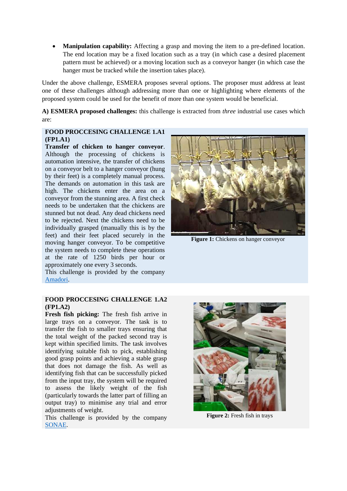• **Manipulation capability:** Affecting a grasp and moving the item to a pre-defined location. The end location may be a fixed location such as a tray (in which case a desired placement pattern must be achieved) or a moving location such as a conveyor hanger (in which case the hanger must be tracked while the insertion takes place).

Under the above challenge, ESMERA proposes several options. The proposer must address at least one of these challenges although addressing more than one or highlighting where elements of the proposed system could be used for the benefit of more than one system would be beneficial.

**A) ESMERA proposed challenges:** this challenge is extracted from *three* industrial use cases which are:

#### **FOOD PROCCESING CHALLENGE 1.A1 (FP1.A1)**

**Transfer of chicken to hanger conveyor**. Although the processing of chickens is automation intensive, the transfer of chickens on a conveyor belt to a hanger conveyor (hung by their feet) is a completely manual process. The demands on automation in this task are high. The chickens enter the area on a conveyor from the stunning area. A first check needs to be undertaken that the chickens are stunned but not dead. Any dead chickens need to be rejected. Next the chickens need to be individually grasped (manually this is by the feet) and their feet placed securely in the moving hanger conveyor. To be competitive the system needs to complete these operations at the rate of 1250 birds per hour or approximately one every 3 seconds.

This challenge is provided by the company [Amadori.](https://www.amadori.com/en/)

#### **FOOD PROCCESING CHALLENGE 1.A2 (FP1.A2)**

**Fresh fish picking:** The fresh fish arrive in large trays on a conveyor. The task is to transfer the fish to smaller trays ensuring that the total weight of the packed second tray is kept within specified limits. The task involves identifying suitable fish to pick, establishing good grasp points and achieving a stable grasp that does not damage the fish. As well as identifying fish that can be successfully picked from the input tray, the system will be required to assess the likely weight of the fish (particularly towards the latter part of filling an output tray) to minimise any trial and error adjustments of weight.

This challenge is provided by the company [SONAE.](https://sonaemc.com/en/)



**Figure 1:** Chickens on hanger conveyor



**Figure 2:** Fresh fish in trays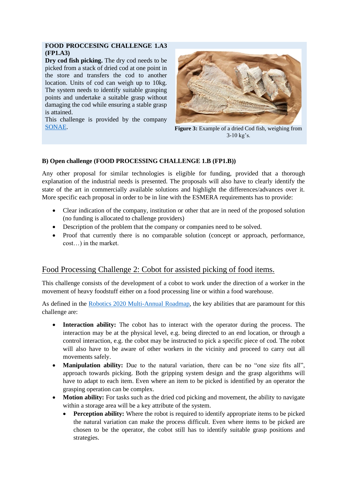#### **FOOD PROCCESING CHALLENGE 1.A3 (FP1.A3)**

**Dry cod fish picking.** The dry cod needs to be picked from a stack of dried cod at one point in the store and transfers the cod to another location. Units of cod can weigh up to 10kg. The system needs to identify suitable grasping points and undertake a suitable grasp without damaging the cod while ensuring a stable grasp is attained.

This challenge is provided by the company [SONAE.](https://sonaemc.com/en/) **Figure 3:** Example of a dried Cod fish, weighing from



3-10 kg's.

### **B) Open challenge (FOOD PROCESSING CHALLENGE 1.B (FP1.B))**

Any other proposal for similar technologies is eligible for funding, provided that a thorough explanation of the industrial needs is presented. The proposals will also have to clearly identify the state of the art in commercially available solutions and highlight the differences/advances over it. More specific each proposal in order to be in line with the ESMERA requirements has to provide:

- Clear indication of the company, institution or other that are in need of the proposed solution (no funding is allocated to challenge providers)
- Description of the problem that the company or companies need to be solved.
- Proof that currently there is no comparable solution (concept or approach, performance, cost…) in the market.

## Food Processing Challenge 2: Cobot for assisted picking of food items.

This challenge consists of the development of a cobot to work under the direction of a worker in the movement of heavy foodstuff either on a food processing line or within a food warehouse.

As defined in the [Robotics 2020 Multi-Annual Roadmap,](https://www.eu-robotics.net/cms/upload/topic_groups/H2020_Robotics_Multi-Annual_Roadmap_ICT-2017B.pdf) the key abilities that are paramount for this challenge are:

- **Interaction ability:** The cobot has to interact with the operator during the process. The interaction may be at the physical level, e.g. being directed to an end location, or through a control interaction, e.g. the cobot may be instructed to pick a specific piece of cod. The robot will also have to be aware of other workers in the vicinity and proceed to carry out all movements safely.
- **Manipulation ability:** Due to the natural variation, there can be no "one size fits all", approach towards picking. Both the gripping system design and the grasp algorithms will have to adapt to each item. Even where an item to be picked is identified by an operator the grasping operation can be complex.
- **Motion ability:** For tasks such as the dried cod picking and movement, the ability to navigate within a storage area will be a key attribute of the system.
	- **Perception ability:** Where the robot is required to identify appropriate items to be picked the natural variation can make the process difficult. Even where items to be picked are chosen to be the operator, the cobot still has to identify suitable grasp positions and strategies.